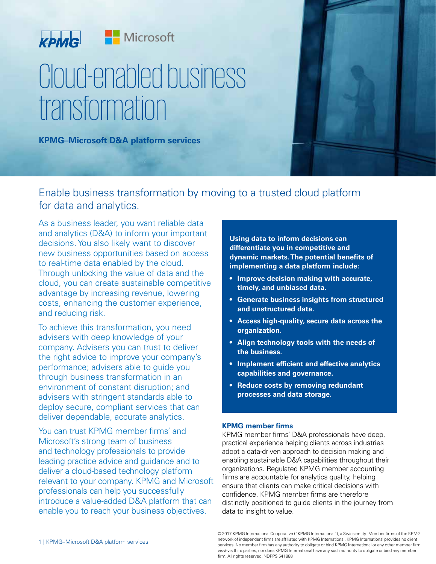# **Microsoft** KPMG Cloud-enabled business transformation

**KPMG–Microsoft D&A platform services**



Enable business transformation by moving to a trusted cloud platform for data and analytics.

As a business leader, you want reliable data and analytics (D&A) to inform your important decisions. You also likely want to discover new business opportunities based on access to real-time data enabled by the cloud. Through unlocking the value of data and the cloud, you can create sustainable competitive advantage by increasing revenue, lowering costs, enhancing the customer experience, and reducing risk.

To achieve this transformation, you need advisers with deep knowledge of your company. Advisers you can trust to deliver the right advice to improve your company's performance; advisers able to guide you through business transformation in an environment of constant disruption; and advisers with stringent standards able to deploy secure, compliant services that can deliver dependable, accurate analytics.

You can trust KPMG member firms' and Microsoft's strong team of business and technology professionals to provide leading practice advice and guidance and to deliver a cloud-based technology platform relevant to your company. KPMG and Microsoft professionals can help you successfully introduce a value-added D&A platform that can enable you to reach your business objectives.

**Using data to inform decisions can differentiate you in competitive and dynamic markets. The potential benefits of implementing a data platform include:**

- **• Improve decision making with accurate, timely, and unbiased data.**
- **• Generate business insights from structured and unstructured data.**
- **• Access high-quality, secure data across the organization.**
- **• Align technology tools with the needs of the business.**
- **• Implement efficient and effective analytics capabilities and governance.**
- **• Reduce costs by removing redundant processes and data storage.**

#### **KPMG member firms**

KPMG member firms' D&A professionals have deep, practical experience helping clients across industries adopt a data-driven approach to decision making and enabling sustainable D&A capabilities throughout their organizations. Regulated KPMG member accounting firms are accountable for analytics quality, helping ensure that clients can make critical decisions with confidence. KPMG member firms are therefore distinctly positioned to guide clients in the journey from data to insight to value.

<sup>1 |</sup> KPMG–Microsoft D&A platform services

<sup>© 2017</sup> KPMG International Cooperative ("KPMG International"), a Swiss entity. Member firms of the KPMG network of independent firms are affiliated with KPMG International. KPMG International provides no client services. No member firm has any authority to obligate or bind KPMG International or any other member firm vis-à-vis third parties, nor does KPMG International have any such authority to obligate or bind any member firm. All rights reserved. NDPPS 541888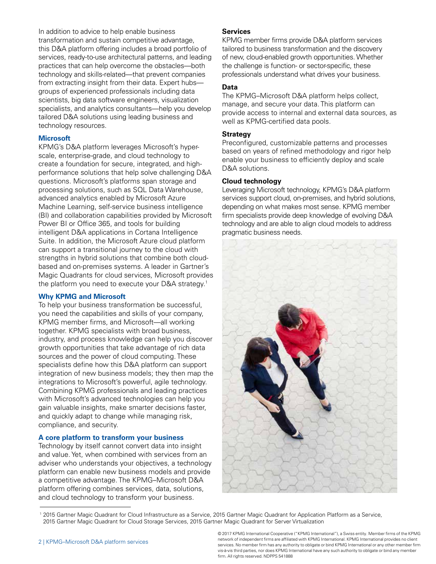In addition to advice to help enable business transformation and sustain competitive advantage, this D&A platform offering includes a broad portfolio of services, ready-to-use architectural patterns, and leading practices that can help overcome the obstacles—both technology and skills-related—that prevent companies from extracting insight from their data. Expert hubs groups of experienced professionals including data scientists, big data software engineers, visualization specialists, and analytics consultants—help you develop tailored D&A solutions using leading business and technology resources.

## **Microsoft**

KPMG's D&A platform leverages Microsoft's hyperscale, enterprise-grade, and cloud technology to create a foundation for secure, integrated, and highperformance solutions that help solve challenging D&A questions. Microsoft's platforms span storage and processing solutions, such as SQL Data Warehouse, advanced analytics enabled by Microsoft Azure Machine Learning, self-service business intelligence (BI) and collaboration capabilities provided by Microsoft Power BI or Office 365, and tools for building intelligent D&A applications in Cortana Intelligence Suite. In addition, the Microsoft Azure cloud platform can support a transitional journey to the cloud with strengths in hybrid solutions that combine both cloudbased and on-premises systems. A leader in Gartner's Magic Quadrants for cloud services, Microsoft provides the platform you need to execute your D&A strategy.<sup>1</sup>

#### **Why KPMG and Microsoft**

To help your business transformation be successful, you need the capabilities and skills of your company, KPMG member firms, and Microsoft—all working together. KPMG specialists with broad business, industry, and process knowledge can help you discover growth opportunities that take advantage of rich data sources and the power of cloud computing. These specialists define how this D&A platform can support integration of new business models; they then map the integrations to Microsoft's powerful, agile technology. Combining KPMG professionals and leading practices with Microsoft's advanced technologies can help you gain valuable insights, make smarter decisions faster, and quickly adapt to change while managing risk, compliance, and security.

## **A core platform to transform your business**

Technology by itself cannot convert data into insight and value. Yet, when combined with services from an adviser who understands your objectives, a technology platform can enable new business models and provide a competitive advantage. The KPMG–Microsoft D&A platform offering combines services, data, solutions, and cloud technology to transform your business.

#### **Services**

KPMG member firms provide D&A platform services tailored to business transformation and the discovery of new, cloud-enabled growth opportunities. Whether the challenge is function- or sector-specific, these professionals understand what drives your business.

#### **Data**

The KPMG–Microsoft D&A platform helps collect, manage, and secure your data. This platform can provide access to internal and external data sources, as well as KPMG-certified data pools.

#### **Strategy**

Preconfigured, customizable patterns and processes based on years of refined methodology and rigor help enable your business to efficiently deploy and scale D&A solutions.

#### **Cloud technology**

Leveraging Microsoft technology, KPMG's D&A platform services support cloud, on-premises, and hybrid solutions, depending on what makes most sense. KPMG member firm specialists provide deep knowledge of evolving D&A technology and are able to align cloud models to address pragmatic business needs.



<sup>1</sup> 2015 Gartner Magic Quadrant for Cloud Infrastructure as a Service, 2015 Gartner Magic Quadrant for Application Platform as a Service, 2015 Gartner Magic Quadrant for Cloud Storage Services, 2015 Gartner Magic Quadrant for Server Virtualization

<sup>© 2017</sup> KPMG International Cooperative ("KPMG International"), a Swiss entity. Member firms of the KPMG network of independent firms are affiliated with KPMG International. KPMG International provides no client services. No member firm has any authority to obligate or bind KPMG International or any other member firm vis-à-vis third parties, nor does KPMG International have any such authority to obligate or bind any member firm. All rights reserved. NDPPS 541888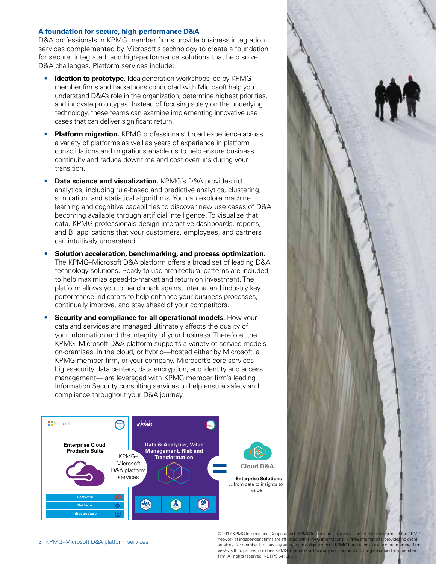#### **A foundation for secure, high-performance D&A**

D&A professionals in KPMG member firms provide business integration services complemented by Microsoft's technology to create a foundation for secure, integrated, and high-performance solutions that help solve D&A challenges. Platform services include:

- **Ideation to prototype.** Idea generation workshops led by KPMG member firms and hackathons conducted with Microsoft help you understand D&A's role in the organization, determine highest priorities, and innovate prototypes. Instead of focusing solely on the underlying technology, these teams can examine implementing innovative use cases that can deliver significant return.
- **Platform migration.** KPMG professionals' broad experience across a variety of platforms as well as years of experience in platform consolidations and migrations enable us to help ensure business continuity and reduce downtime and cost overruns during your transition.
- **Data science and visualization.** KPMG's D&A provides rich analytics, including rule-based and predictive analytics, clustering, simulation, and statistical algorithms. You can explore machine learning and cognitive capabilities to discover new use cases of D&A becoming available through artificial intelligence. To visualize that data, KPMG professionals design interactive dashboards, reports, and BI applications that your customers, employees, and partners can intuitively understand.
- Solution acceleration, benchmarking, and process optimization. The KPMG–Microsoft D&A platform offers a broad set of leading D&A technology solutions. Ready-to-use architectural patterns are included, to help maximize speed-to-market and return on investment. The platform allows you to benchmark against internal and industry key performance indicators to help enhance your business processes, continually improve, and stay ahead of your competitors.
- **Security and compliance for all operational models.** How your data and services are managed ultimately affects the quality of your information and the integrity of your business. Therefore, the KPMG–Microsoft D&A platform supports a variety of service models on-premises, in the cloud, or hybrid—hosted either by Microsoft, a KPMG member firm, or your company. Microsoft's core services high-security data centers, data encryption, and identity and access management— are leveraged with KPMG member firm's leading Information Security consulting services to help ensure safety and compliance throughout your D&A journey.



#### 3 | KPMG–Microsoft D&A platform services

firm. All rights reserved. NDPPS 5418

© 2017 KPMG International Cooperative ("KPMG International"), a Swiss entity. Member firms of<br>network of independent firms are affiliated with KPMG International. KPM<u>G International provide</u>: network of independent firms are affiliated with KPMG International. KPMG International provides no client services. No member firm has any authority to obligate or bind KPMG International or any other member firm vis-à-vis third parties, nor does KPMG International have any such authority to obligate or bind any